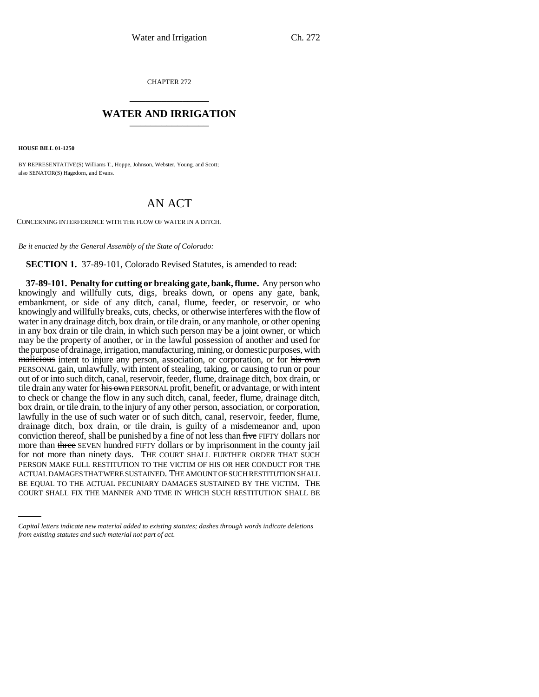CHAPTER 272 \_\_\_\_\_\_\_\_\_\_\_\_\_\_\_

## **WATER AND IRRIGATION** \_\_\_\_\_\_\_\_\_\_\_\_\_\_\_

**HOUSE BILL 01-1250**

BY REPRESENTATIVE(S) Williams T., Hoppe, Johnson, Webster, Young, and Scott; also SENATOR(S) Hagedorn, and Evans.

## AN ACT

CONCERNING INTERFERENCE WITH THE FLOW OF WATER IN A DITCH.

*Be it enacted by the General Assembly of the State of Colorado:*

**SECTION 1.** 37-89-101, Colorado Revised Statutes, is amended to read:

ACTUAL DAMAGES THAT WERE SUSTAINED. THE AMOUNT OF SUCH RESTITUTION SHALL **37-89-101. Penalty for cutting or breaking gate, bank, flume.** Any person who knowingly and willfully cuts, digs, breaks down, or opens any gate, bank, embankment, or side of any ditch, canal, flume, feeder, or reservoir, or who knowingly and willfully breaks, cuts, checks, or otherwise interferes with the flow of water in any drainage ditch, box drain, or tile drain, or any manhole, or other opening in any box drain or tile drain, in which such person may be a joint owner, or which may be the property of another, or in the lawful possession of another and used for the purpose of drainage, irrigation, manufacturing, mining, or domestic purposes, with malicious intent to injure any person, association, or corporation, or for his own PERSONAL gain, unlawfully, with intent of stealing, taking, or causing to run or pour out of or into such ditch, canal, reservoir, feeder, flume, drainage ditch, box drain, or tile drain any water for his own PERSONAL profit, benefit, or advantage, or with intent to check or change the flow in any such ditch, canal, feeder, flume, drainage ditch, box drain, or tile drain, to the injury of any other person, association, or corporation, lawfully in the use of such water or of such ditch, canal, reservoir, feeder, flume, drainage ditch, box drain, or tile drain, is guilty of a misdemeanor and, upon conviction thereof, shall be punished by a fine of not less than five FIFTY dollars nor more than three SEVEN hundred FIFTY dollars or by imprisonment in the county jail for not more than ninety days. THE COURT SHALL FURTHER ORDER THAT SUCH PERSON MAKE FULL RESTITUTION TO THE VICTIM OF HIS OR HER CONDUCT FOR THE BE EQUAL TO THE ACTUAL PECUNIARY DAMAGES SUSTAINED BY THE VICTIM. THE COURT SHALL FIX THE MANNER AND TIME IN WHICH SUCH RESTITUTION SHALL BE

*Capital letters indicate new material added to existing statutes; dashes through words indicate deletions from existing statutes and such material not part of act.*